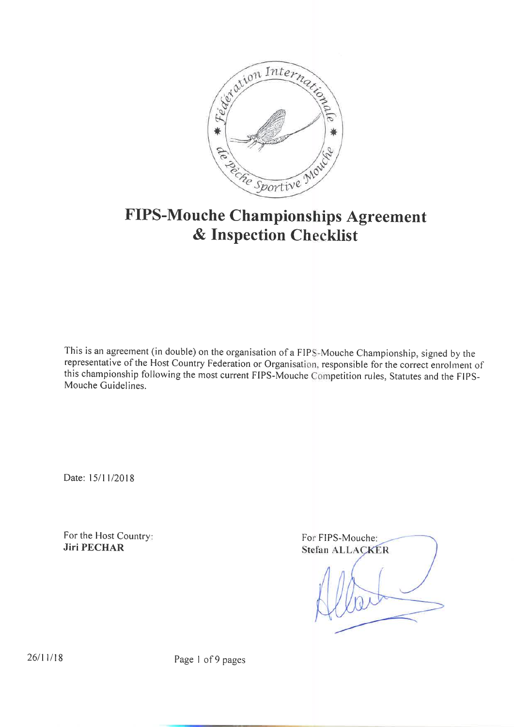

# FIPS-Mouche Championships Agreement & Inspection Checklist

This is an agreement (in double) on the organisation of a FIPS-Mouche Championship, signed by the representative of the Host Country Federation or Organisation, responsible for the correct enrolment of this championship following the most current FIPS-Mouche Competition rules, Statutes and the FIPS-Mouche Guidelines.

Date: 15/11/2018

For the Host Country **Jiri PECHAR** 

Fo FIPS-Mouche Stefan ALLACKER

 $26/11/18$  Page I of 9 pages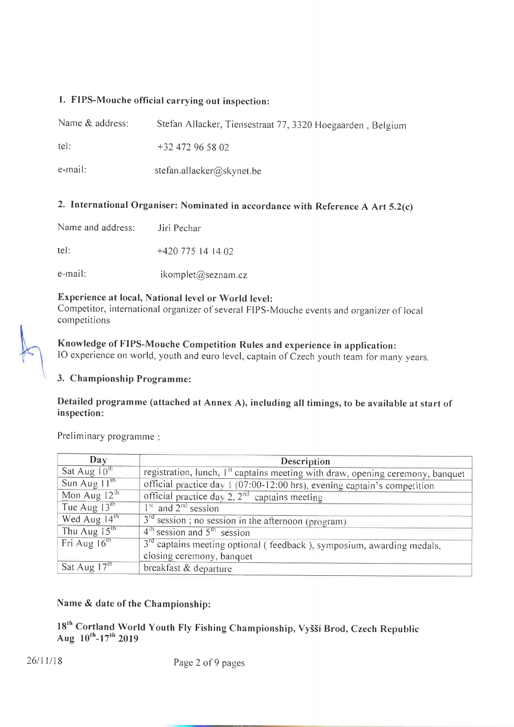## l. FIPs-Mouche official carrying out inspection:

| Name & address: | Stefan Allacker, Tiensestraat 77, 3320 Hoegaarden, Belgium |
|-----------------|------------------------------------------------------------|
| tel:            | $+32$ 472 96 58 02                                         |
| e-mail:         | stefan.allacker@skynet.be                                  |

# 2. International Organiser: Nominated in accordance with Reference A Art 5.2(c)

tel: +420 775 14 14 02

e-mail: ikomplet@seznam.cz

# Experience at local, National level or World level:

Competitor, international organizer of several FIPS-Mouche events and organizer of local competitions

Knowledge of FIPS-Mouche Competition Rules and experience in application: IO experience on world, youth and euro level, captain of Czech youth team for many years.

## 3. Championship Programme:

## Detailed programme (attached at Annex A), including all timings, to be available at start of inspection:

Preliminary programme:

| Day                      | Description                                                                                |
|--------------------------|--------------------------------------------------------------------------------------------|
| Sat Aug $10^{th}$        | registration, lunch, I <sup>st</sup> captains meeting with draw, opening ceremony, banquet |
| Sun Aug $11^{\text{th}}$ | official practice day 1 (07:00-12:00 hrs), evening captain's competition                   |
| Mon Aug $12th$           | official practice day $2$ , $2nd$ captains meeting                                         |
| Tue Aug $13th$           | $Ist$ and $2nd$ session                                                                    |
| Wed Aug $14^{\text{th}}$ | $3rd$ session; no session in the afternoon (program)                                       |
| Thu Aug $15th$           | $4th$ session and $5th$ session                                                            |
| Fri Aug $16^{\text{th}}$ | 3 <sup>rd</sup> captains meeting optional (feedback), symposium, awarding medals,          |
|                          | closing ceremony, banquet                                                                  |
| Sat Aug 17th             | breakfast & departure                                                                      |

#### Name & date of the Championship:

18<sup>th</sup> Cortland World Youth Fly Fishing Championship, Vyšší Brod, Czech Republic Aug  $10^{th}$ -17<sup>th</sup> 2019

26/11/18 Page 2 of 9 pages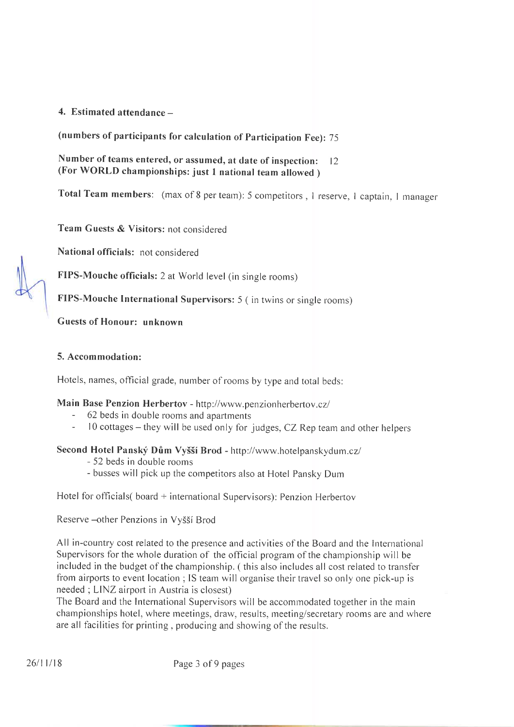## 4. Estimated attendance  $-$

(numbers of participants for calculation of participation Fee): <sup>75</sup>

Number of teams entered, or assumed, at date of inspection: 12 (For WORLD championships: just I national team allowed )

Total Team members: (max of 8 per team): 5 competitors, 1 reserve, 1 captain, 1 manager

Team Guests & Visitors: not considered

National officials: not considered

FIPS-Mouche officials: 2 at World level (in single rooms)

FIPS-Mouche International Supervisors: 5 (in twins or single rooms)

Guests of Honour: unknown

#### 5. Accommodation:

Hotels, names, official grade, number of rooms by type and total beds:

## Main Base Penzion Herbertov - http://www.penzionherbertov.cz/

- 62 beds in double rooms and apartments
- $10$  cottages they will be used only for judges, CZ Rep team and other helpers

#### Second Hotel Panský Dům Vyšší Brod - http://www.hotelpanskydum.cz/

- 52 beds in double rooms
- busses will pick up the competitors also at Hotel Pansky Dum

Hotel for officials( board + international Supervisors): Penzion Herberrov

Reserve -- other Penzions in Vyšší Brod

All in-country cost related to the presence and activities of the Board and the lnternational Supervisors for the whole duration of the official program of the championship will be included in the budget of the championship. (this also includes all cost related to transfer from airports to event location ; IS team will organise their travel so only one pick-up is needed ; LINZ airport in Austria is closest)

The Board and the lnternational Supervisors will be accommodated together in the main championships hotel, where meetings, draw, results, meeting/secretary rooms are and where are all facilities for printing, producing and showing of the results.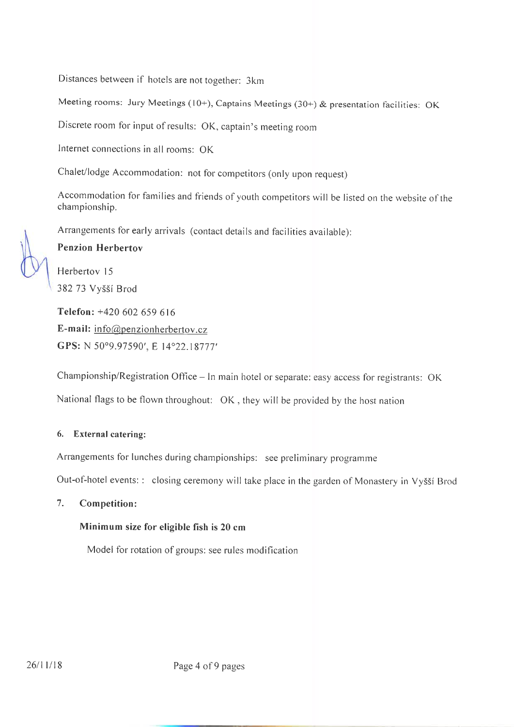Distances between if hotels are not together: 3km

Meeting rooms: Jury Meetings (10+), Captains Meetings (30+) & presentation facilities: OK

Discrete room for input of results: OK, captain's meeting room

lnternet connections in all rooms: OK

Chalet/lodge Accommodation: not for competitors (only upon request)

Accommodation for families and friends of youth competitors will be listed on the website of the championship.

Arrangements for early arrivals (contact details and facilities available):

Penzion Herbertov

Herbertov l5 382 73 Vy55í Brod

Telefon: +420 602 659 616 E-mail:  $info@p$ enzionherbertov.cz GPS: N 50°9.97590', E 14°22.18777'

Championship/Registration Office - In main hotel or separate: easy access for registrants: OK

National fìags to be flown throughout: OK, they will be provided by the host nation

#### 6. External catering:

Arrangements for lunches during championships: see preliminary programme

Out-of-hotel events:: closing ceremony will take place in the garden of Monastery in Vyšší Brod

#### 7. Competition:

#### Minimum size for eligible fish is 20 cm

Model for rotation of groups: see rules modification

26/11/18 Page 4 of 9 pages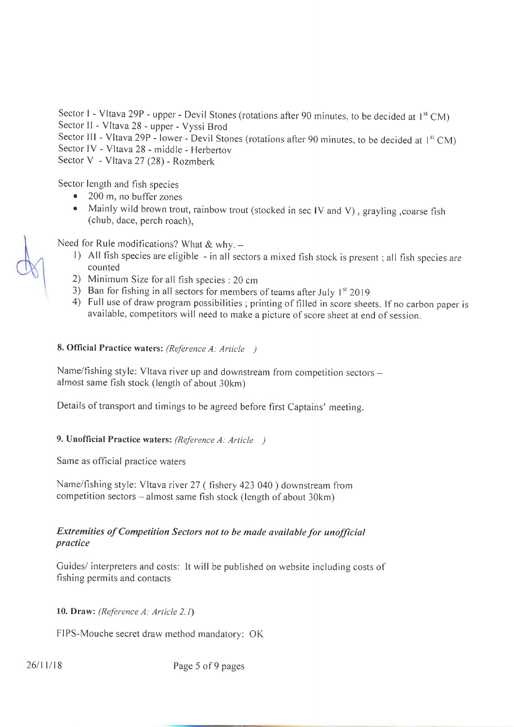Sector I - Vltava 29P - upper - Devil Stones (rotations after 90 minutes, to be decided at  $1^{st}$  CM) Sector II - Vltava 28 - upper - Vyssi Brod

Sector III - Vltava 29P - lower - Devil Stones (rotations after 90 minutes, to be decided at  $1^{st}$  CM) Sector lV - Vltava 28 - middle - Herbertov

Sector V - Vltava 27 (28) - Rozmberk

Sector length and fish species

- $\bullet$  200 m, no buffer zones
- Mainly wild brown trout, rainbow trout (stocked in sec IV and V), grayling, coarse fish (chub, dace, perch roach),

- Need for Rule modifications? What & why. –<br>1) All fish species are eligible in all sectors a mixed fish stock is present; all fish species are counted
	-
	- 2) Minimum Size for all fish species : 20 cm<br>3) Ban for fishing in all sectors for members of teams after July  $1<sup>st</sup>$  2019
	- 4) Full use of draw program possibilities; printing of filled in score sheets. If no carbon paper is available, competitors will need to make a picture of score sheet at end of session.

## 8. Official Practice waters: (Reference A: Article )

Name/fishing style: Vltava river up and downstream from competition sectors almost same fish stock (length of about 30km)

Details of transport and timings to be agreed before first Captains' meeting.

# 9. Unofficial Practice waters: (Reference A: Article )

Same as official practice waters

Name/fishing style: Vltava river 27 (fishery 423 040) downstream from competition sectors  $-$  almost same fish stock (length of about 30km)

## **Extremities of Competition Sectors not to be made available for unofficial** practice

Guides/ interpreters and costs: It will be published on website including costs of fishing permits and contacts

10. Draw: (Reference A; Article 2.Ì)

FIPS-Mouche secret draw method mandatory: OK

26/11/18 Page 5 of 9 pages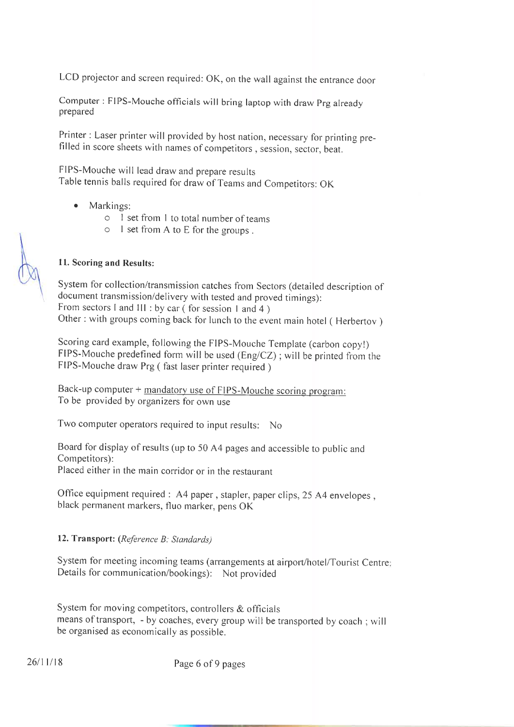LCD projector and screen required: OK, on the wall against the entrance door

Computer : FIPS-Mouche officials will bring laptop with draw Prg already prepared

Printer : Laser printer will provided by host nation, necessary for printing prefilled in score sheets with names of competitors, session, sector, beat.

FIPS-Mouche will lead draw and prepare results Table tennis balls required for draw of Teams and Competitors: OK

- Markings: a
	- o I set from I to total number of teams
	- o I set from A to E for the groups .

## ll. Scoring and Results:

Systern for collection/transmission catches from Sectors (detailed description of document transmission/delivery with tested and proved timings): From sectors I and III : by car (for session 1 and 4) Other : with groups coming back for lunch to the event main hotel ( Herbertov )

Scoring card example, following the FIPS-Mouche Template (carbon copy!) FIPS-Mouche predefined form will be used (Eng/CZ); will be printed from the FIPS-Mouche draw Prg ( fast laser printer required )

Back-up computer + mandatory use of FIPS-Mouche scoring program: To be provided by organizers for own use

Two computer operators required to input results: No

Board for display of results (up to 50 A4 pages and accessible to public and Competitors): Placed either in the main corridor or in the restaurant

Office equipment required : A4 paper, stapler, paper clips, 25 A4 envelopes, black permanent markers, fluo marker, pens OK

#### 12. Transport: (Reference B: Standards)

System for meeting incoming teams (arrangements at airport/hotel/Tourist Centre: Details for communication/bookings): Not provided

System for moving competitors, controllers  $\&$  officials means of transport, - by coaches, every group will be transported by coach; will be organised as economically as possible.

26/11/18 Page 6 of 9 pages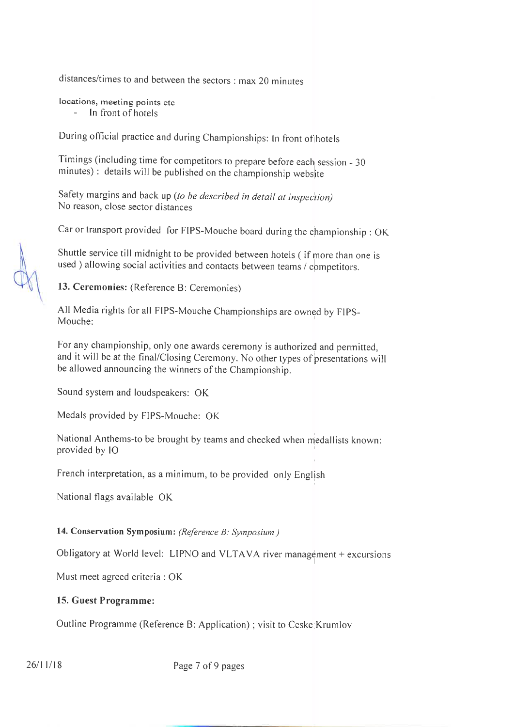distances/times to and between the sectors : max 20 minutes

locations, meeting points etc

- ln front of hotels

During official practice and during Championships: In front of hotels

Timings (including time for competitors to prepare before each session - <sup>30</sup> minutes) : details will be published on the championship website

Safety margins and back up (to be described in detail at inspection) No reason, close sector distances

Car or transport provided for FIPS-Mouche board during the championship : oK

Shuttle service till midnight to be provided between hotels (if more than one is used ) allowing social activities and contacts between teams / competitors.

13. Ceremonies: (Reference B: Ceremonies)

All Media rights for all FIPS-Mouche championships are owned by FlpS-Mouche:

For any championship, only one awards ceremony is authorized and permitted, and it will be at the final/Closing Ceremony. No other types of presentations will be allowed announcing the winners of the Championship.

Sound system and loudspeakers: OK

Medals provided by FIPS-Mouche: OK

National Anthems-to be brought by teams and checked when medallists known: provided by lO

French interpretation, as a minimum, to be provided only English

National flags available OK

#### 14. Conservation Symposium: (Reference B: Symposium)

Obligatory at World level: LIPNO and VLTAVA river management + excursions

Must meet agreed criteria : OK

#### 15. Guest Programme:

Outline Programme (Reference B: Application) ; visit to Ceske Krumlov

26/11/18 Page 7 of 9 pages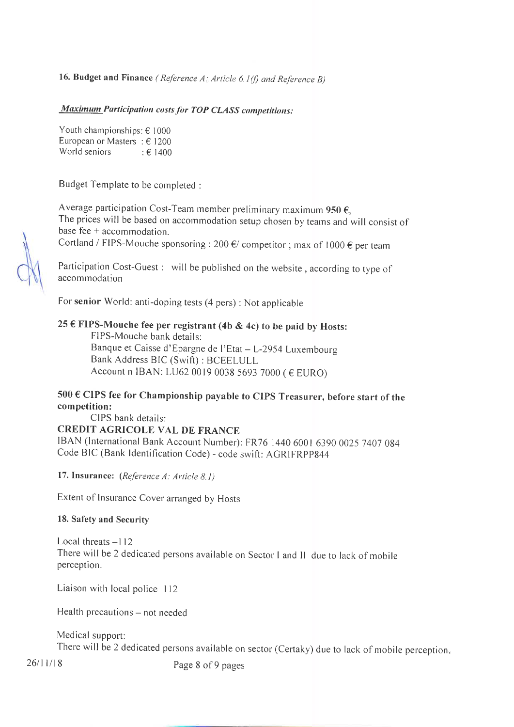# 16. Budget and Finance (Reference A: Article 6.1(f) and Reference B)

#### **Maximum Participation costs for TOP CLASS competitions:**

Youth championships:  $\epsilon$  1000 European or Masters :  $\epsilon$  1200 World seniors  $\qquad$ :  $\epsilon$  1400

Budget Template to be completed :

Average participation Cost-Team member preliminary maximum 950  $\epsilon$ , The prices will be based on accommodation setup chosen by teams and will consist of base fee  $+$  accommodation.

Cortland / FIPS-Mouche sponsoring : 200  $\epsilon$ / competitor ; max of 1000  $\epsilon$  per team

Participation Cost-Guest : will be published on the website, according to type of accommodation

For senior World: anti-doping tests (4 pers) : Not applicable

#### 25 € FIPS-Mouche fee per registrant (4b & 4c) to be paid by Hosts:

FIPS-Mouche bank details: Banque et Caisse d'Epargne de l'Etat - L-2954 Luxembourg Bank Address BIC (Swift): BCEELULL Account n IBAN: LU62 0019 0038 5693 7000 (€ EURO)

# 500 € CIPS fee for Championship payable to CIPS Treasurer, before start of the competition:

CIPS bank details:

# **CREDIT AGRICOLE VAL DE FRANCE**

IBAN (International Bank Account Number): FR76 1440 6001 6390 0025 7407 084 Code BIC (Bank Identification Code) - code swift: AGRIFRPP844

17. Insurance: (Reference A: Article 8.1)

Extent of Insurance Cover arranged by Hosts

#### 18. Safety and Security

Local threats  $-112$ There will be 2 dedicated persons available on Sector I and II due to lack of mobile perception.

Liaison with local police 112

Health precautions – not needed

Medical support: There will be 2 dedicated persons available on sector (Certaky) due to lack of mobile perception.

 $26/11/18$ 

Page 8 of 9 pages